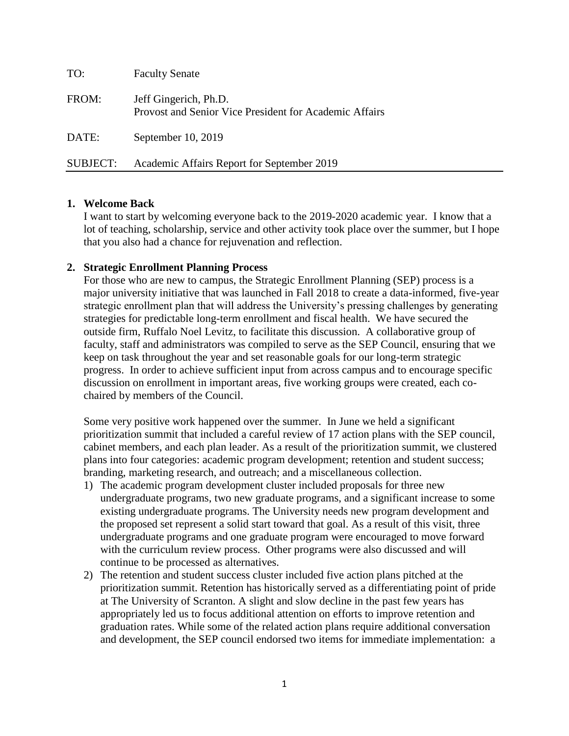| TO:             | <b>Faculty Senate</b>                                                           |
|-----------------|---------------------------------------------------------------------------------|
| FROM:           | Jeff Gingerich, Ph.D.<br>Provost and Senior Vice President for Academic Affairs |
| DATE:           | September 10, 2019                                                              |
| <b>SUBJECT:</b> | Academic Affairs Report for September 2019                                      |

### **1. Welcome Back**

I want to start by welcoming everyone back to the 2019-2020 academic year. I know that a lot of teaching, scholarship, service and other activity took place over the summer, but I hope that you also had a chance for rejuvenation and reflection.

### **2. Strategic Enrollment Planning Process**

For those who are new to campus, the Strategic Enrollment Planning (SEP) process is a major university initiative that was launched in Fall 2018 to create a data-informed, five-year strategic enrollment plan that will address the University's pressing challenges by generating strategies for predictable long-term enrollment and fiscal health. We have secured the outside firm, Ruffalo Noel Levitz, to facilitate this discussion. A collaborative group of faculty, staff and administrators was compiled to serve as the SEP Council, ensuring that we keep on task throughout the year and set reasonable goals for our long-term strategic progress. In order to achieve sufficient input from across campus and to encourage specific discussion on enrollment in important areas, five working groups were created, each cochaired by members of the Council.

Some very positive work happened over the summer. In June we held a significant prioritization summit that included a careful review of 17 action plans with the SEP council, cabinet members, and each plan leader. As a result of the prioritization summit, we clustered plans into four categories: academic program development; retention and student success; branding, marketing research, and outreach; and a miscellaneous collection.

- 1) The academic program development cluster included proposals for three new undergraduate programs, two new graduate programs, and a significant increase to some existing undergraduate programs. The University needs new program development and the proposed set represent a solid start toward that goal. As a result of this visit, three undergraduate programs and one graduate program were encouraged to move forward with the curriculum review process. Other programs were also discussed and will continue to be processed as alternatives.
- 2) The retention and student success cluster included five action plans pitched at the prioritization summit. Retention has historically served as a differentiating point of pride at The University of Scranton. A slight and slow decline in the past few years has appropriately led us to focus additional attention on efforts to improve retention and graduation rates. While some of the related action plans require additional conversation and development, the SEP council endorsed two items for immediate implementation: a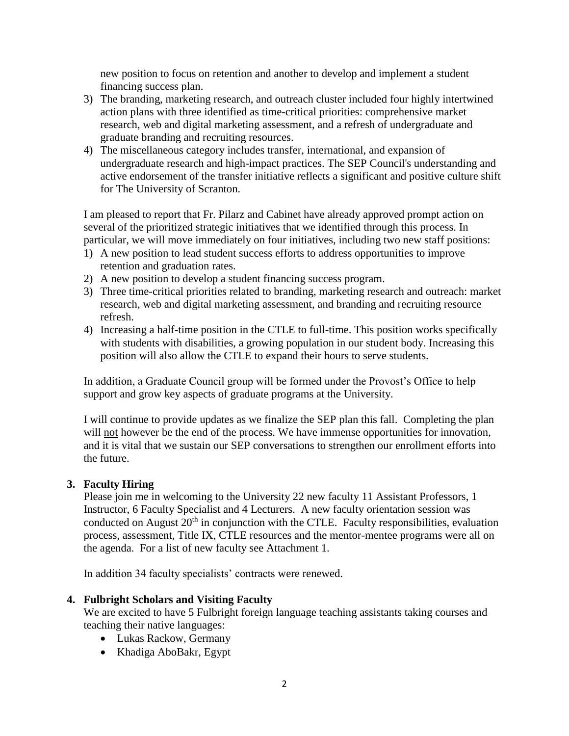new position to focus on retention and another to develop and implement a student financing success plan.

- 3) The branding, marketing research, and outreach cluster included four highly intertwined action plans with three identified as time-critical priorities: comprehensive market research, web and digital marketing assessment, and a refresh of undergraduate and graduate branding and recruiting resources.
- 4) The miscellaneous category includes transfer, international, and expansion of undergraduate research and high-impact practices. The SEP Council's understanding and active endorsement of the transfer initiative reflects a significant and positive culture shift for The University of Scranton.

I am pleased to report that Fr. Pilarz and Cabinet have already approved prompt action on several of the prioritized strategic initiatives that we identified through this process. In particular, we will move immediately on four initiatives, including two new staff positions:

- 1) A new position to lead student success efforts to address opportunities to improve retention and graduation rates.
- 2) A new position to develop a student financing success program.
- 3) Three time-critical priorities related to branding, marketing research and outreach: market research, web and digital marketing assessment, and branding and recruiting resource refresh.
- 4) Increasing a half-time position in the CTLE to full-time. This position works specifically with students with disabilities, a growing population in our student body. Increasing this position will also allow the CTLE to expand their hours to serve students.

In addition, a Graduate Council group will be formed under the Provost's Office to help support and grow key aspects of graduate programs at the University.

I will continue to provide updates as we finalize the SEP plan this fall. Completing the plan will not however be the end of the process. We have immense opportunities for innovation, and it is vital that we sustain our SEP conversations to strengthen our enrollment efforts into the future.

## **3. Faculty Hiring**

Please join me in welcoming to the University 22 new faculty 11 Assistant Professors, 1 Instructor, 6 Faculty Specialist and 4 Lecturers. A new faculty orientation session was conducted on August  $20<sup>th</sup>$  in conjunction with the CTLE. Faculty responsibilities, evaluation process, assessment, Title IX, CTLE resources and the mentor-mentee programs were all on the agenda. For a list of new faculty see Attachment 1.

In addition 34 faculty specialists' contracts were renewed.

### **4. Fulbright Scholars and Visiting Faculty**

We are excited to have 5 Fulbright foreign language teaching assistants taking courses and teaching their native languages:

- Lukas Rackow, Germany
- Khadiga AboBakr, Egypt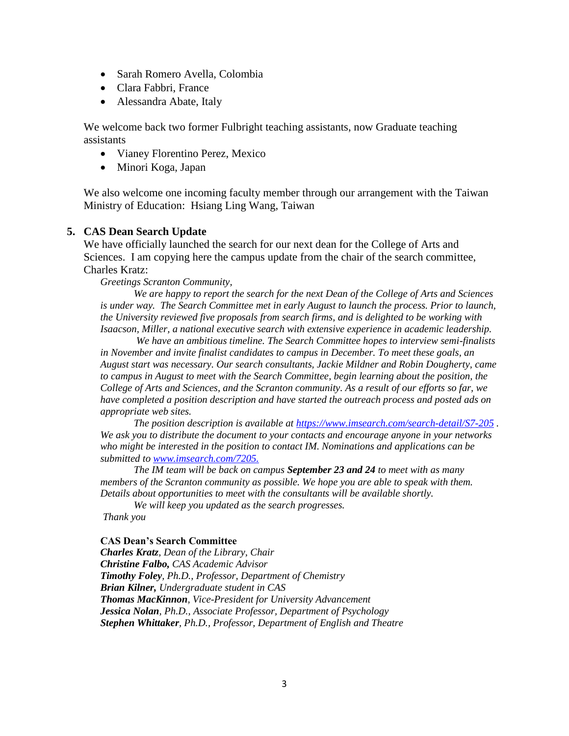- Sarah Romero Avella, Colombia
- Clara Fabbri, France
- Alessandra Abate, Italy

We welcome back two former Fulbright teaching assistants, now Graduate teaching assistants

- Vianey Florentino Perez, Mexico
- Minori Koga, Japan

We also welcome one incoming faculty member through our arrangement with the Taiwan Ministry of Education: Hsiang Ling Wang, Taiwan

### **5. CAS Dean Search Update**

We have officially launched the search for our next dean for the College of Arts and Sciences. I am copying here the campus update from the chair of the search committee, Charles Kratz:

*Greetings Scranton Community,*

*We are happy to report the search for the next Dean of the College of Arts and Sciences is under way. The Search Committee met in early August to launch the process. Prior to launch, the University reviewed five proposals from search firms, and is delighted to be working with Isaacson, Miller, a national executive search with extensive experience in academic leadership.* 

*We have an ambitious timeline. The Search Committee hopes to interview semi-finalists in November and invite finalist candidates to campus in December. To meet these goals, an August start was necessary. Our search consultants, Jackie Mildner and Robin Dougherty, came to campus in August to meet with the Search Committee, begin learning about the position, the College of Arts and Sciences, and the Scranton community. As a result of our efforts so far, we have completed a position description and have started the outreach process and posted ads on appropriate web sites.* 

*The position description is available at<https://www.imsearch.com/search-detail/S7-205> . We ask you to distribute the document to your contacts and encourage anyone in your networks who might be interested in the position to contact IM. Nominations and applications can be submitted to [www.imsearch.com/7205.](http://www.imsearch.com/7205)*

*The IM team will be back on campus September 23 and 24 to meet with as many members of the Scranton community as possible. We hope you are able to speak with them. Details about opportunities to meet with the consultants will be available shortly.* 

*We will keep you updated as the search progresses.* 

*Thank you*

### **CAS Dean's Search Committee**

*Charles Kratz, Dean of the Library, Chair Christine Falbo, CAS Academic Advisor Timothy Foley, Ph.D., Professor, Department of Chemistry Brian Kilner, Undergraduate student in CAS Thomas MacKinnon, Vice-President for University Advancement Jessica Nolan, Ph.D., Associate Professor, Department of Psychology Stephen Whittaker, Ph.D., Professor, Department of English and Theatre*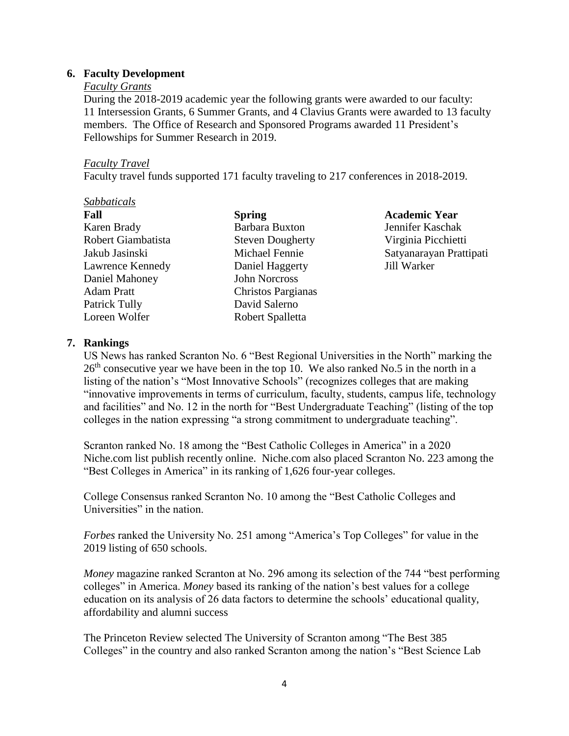### **6. Faculty Development**

### *Faculty Grants*

During the 2018-2019 academic year the following grants were awarded to our faculty: 11 Intersession Grants, 6 Summer Grants, and 4 Clavius Grants were awarded to 13 faculty members. The Office of Research and Sponsored Programs awarded 11 President's Fellowships for Summer Research in 2019.

### *Faculty Travel*

Faculty travel funds supported 171 faculty traveling to 217 conferences in 2018-2019.

# *Sabbaticals*

| нап                |
|--------------------|
| Karen Brady        |
| Robert Giambatista |
| Jakub Jasinski     |
| Lawrence Kennedy   |
| Daniel Mahoney     |
| Adam Pratt         |
| Patrick Tully      |
| Loreen Wolfer      |

Barbara Buxton Jennifer Kaschak Steven Dougherty Virginia Picchietti Daniel Haggerty Jill Warker John Norcross Christos Pargianas David Salerno Robert Spalletta

**Fall Spring Academic Year** Michael Fennie Satyanarayan Prattipati

## **7. Rankings**

US News has ranked Scranton No. 6 "Best Regional Universities in the North" marking the  $26<sup>th</sup>$  consecutive year we have been in the top 10. We also ranked No.5 in the north in a listing of the nation's "Most Innovative Schools" (recognizes colleges that are making "innovative improvements in terms of curriculum, faculty, students, campus life, technology and facilities" and No. 12 in the north for "Best Undergraduate Teaching" (listing of the top colleges in the nation expressing "a strong commitment to undergraduate teaching".

Scranton ranked No. 18 among the "Best Catholic Colleges in America" in a 2020 Niche.com list publish recently online. Niche.com also placed Scranton No. 223 among the "Best Colleges in America" in its ranking of 1,626 four-year colleges.

College Consensus ranked Scranton No. 10 among the "Best Catholic Colleges and Universities" in the nation.

*Forbes* ranked the University No. 251 among "America's Top Colleges" for value in the 2019 listing of 650 schools.

*Money* magazine ranked Scranton at No. 296 among its selection of the 744 "best performing colleges" in America. *Money* based its ranking of the nation's best values for a college education on its analysis of 26 data factors to determine the schools' educational quality, affordability and alumni success

The Princeton Review selected The [University](https://news.scranton.edu/articles/2019/08/news-princetonreview-aug-2019.shtml) of Scranton among "The Best 385 [Colleges"](https://news.scranton.edu/articles/2019/08/news-princetonreview-aug-2019.shtml) in the country and also ranked Scranton among the nation's "Best Science Lab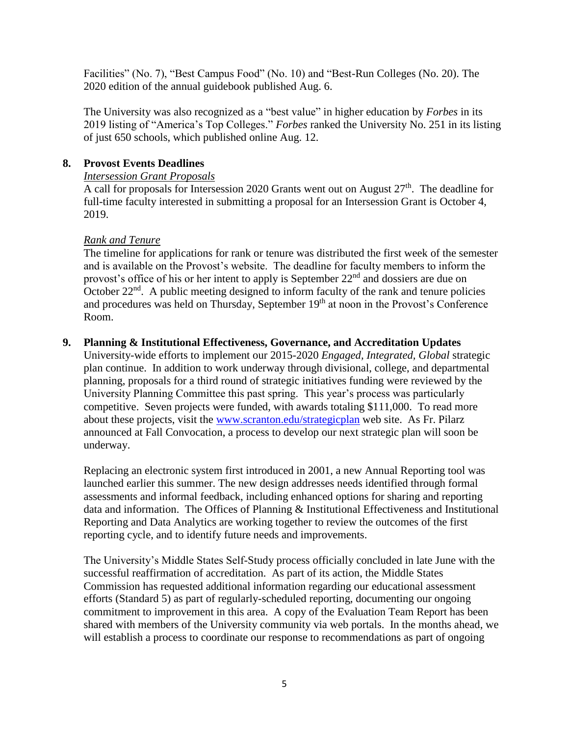Facilities" (No. 7), "Best Campus Food" (No. 10) and "Best-Run Colleges (No. 20). The 2020 edition of the annual guidebook published Aug. 6.

The University was also recognized as a "best value" in higher [education](https://news.scranton.edu/articles/2019/08/news-rank-money-19.shtml) by *Forbes* in its 2019 listing of "America's Top Colleges." *Forbes* ranked the University No. 251 in its listing of just 650 schools, which published online Aug. 12.

## **8. Provost Events Deadlines**

## *Intersession Grant Proposals*

A call for proposals for Intersession 2020 Grants went out on August  $27<sup>th</sup>$ . The deadline for full-time faculty interested in submitting a proposal for an Intersession Grant is October 4, 2019.

## *Rank and Tenure*

The timeline for applications for rank or tenure was distributed the first week of the semester and is available on the Provost's website. The deadline for faculty members to inform the provost's office of his or her intent to apply is September 22<sup>nd</sup> and dossiers are due on October  $22<sup>nd</sup>$ . A public meeting designed to inform faculty of the rank and tenure policies and procedures was held on Thursday, September 19<sup>th</sup> at noon in the Provost's Conference Room.

## **9. Planning & Institutional Effectiveness, Governance, and Accreditation Updates**

University-wide efforts to implement our 2015-2020 *Engaged, Integrated, Global* strategic plan continue. In addition to work underway through divisional, college, and departmental planning, proposals for a third round of strategic initiatives funding were reviewed by the University Planning Committee this past spring. This year's process was particularly competitive. Seven projects were funded, with awards totaling \$111,000. To read more about these projects, visit the [www.scranton.edu/strategicplan](http://www.scranton.edu/strategicplan) web site. As Fr. Pilarz announced at Fall Convocation, a process to develop our next strategic plan will soon be underway.

Replacing an electronic system first introduced in 2001, a new Annual Reporting tool was launched earlier this summer. The new design addresses needs identified through formal assessments and informal feedback, including enhanced options for sharing and reporting data and information. The Offices of Planning & Institutional Effectiveness and Institutional Reporting and Data Analytics are working together to review the outcomes of the first reporting cycle, and to identify future needs and improvements.

The University's Middle States Self-Study process officially concluded in late June with the successful reaffirmation of accreditation. As part of its action, the Middle States Commission has requested additional information regarding our educational assessment efforts (Standard 5) as part of regularly-scheduled reporting, documenting our ongoing commitment to improvement in this area. A copy of the Evaluation Team Report has been shared with members of the University community via web portals. In the months ahead, we will establish a process to coordinate our response to recommendations as part of ongoing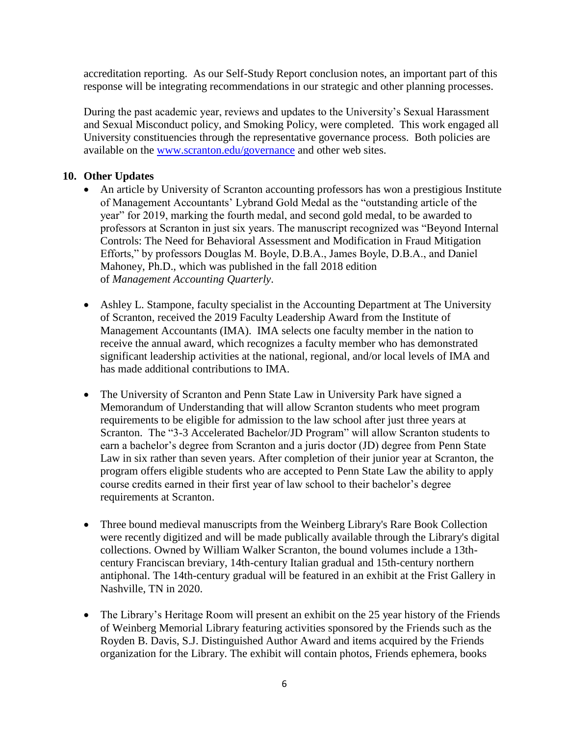accreditation reporting. As our Self-Study Report conclusion notes, an important part of this response will be integrating recommendations in our strategic and other planning processes.

During the past academic year, reviews and updates to the University's Sexual Harassment and Sexual Misconduct policy, and Smoking Policy, were completed. This work engaged all University constituencies through the representative governance process. Both policies are available on the [www.scranton.edu/governance](http://www.scranton.edu/governance) and other web sites.

## **10. Other Updates**

- An article by University of Scranton accounting professors has won a prestigious Institute of Management Accountants' Lybrand Gold Medal as the "outstanding article of the year" for 2019, marking the fourth medal, and second gold medal, to be awarded to professors at Scranton in just six years. The manuscript recognized was "Beyond Internal Controls: The Need for Behavioral Assessment and Modification in Fraud Mitigation Efforts," by professors Douglas M. Boyle, D.B.A., James Boyle, D.B.A., and Daniel Mahoney, Ph.D., which was published in the fall 2018 edition of *Management Accounting Quarterly*.
- Ashley L. Stampone, faculty specialist in the Accounting Department at The University of Scranton, received the 2019 Faculty Leadership Award from the Institute of Management Accountants (IMA). IMA selects one faculty member in the nation to receive the annual award, which recognizes a faculty member who has demonstrated significant leadership activities at the national, regional, and/or local levels of IMA and has made additional contributions to IMA.
- The University of Scranton and Penn State Law in University Park have signed a Memorandum of Understanding that will allow Scranton students who meet program requirements to be eligible for admission to the law school after just three years at Scranton. The "3-3 Accelerated Bachelor/JD Program" will allow Scranton students to earn a bachelor's degree from Scranton and a juris doctor (JD) degree from Penn State Law in six rather than seven years. After completion of their junior year at Scranton, the program offers eligible students who are accepted to Penn State Law the ability to apply course credits earned in their first year of law school to their bachelor's degree requirements at Scranton.
- Three bound medieval manuscripts from the Weinberg Library's Rare Book Collection were recently digitized and will be made publically available through the Library's digital collections. Owned by William Walker Scranton, the bound volumes include a 13thcentury Franciscan breviary, 14th-century Italian gradual and 15th-century northern antiphonal. The 14th-century gradual will be featured in an exhibit at the Frist Gallery in Nashville, TN in 2020.
- The Library's Heritage Room will present an exhibit on the 25 year history of the Friends of Weinberg Memorial Library featuring activities sponsored by the Friends such as the Royden B. Davis, S.J. Distinguished Author Award and items acquired by the Friends organization for the Library. The exhibit will contain photos, Friends ephemera, books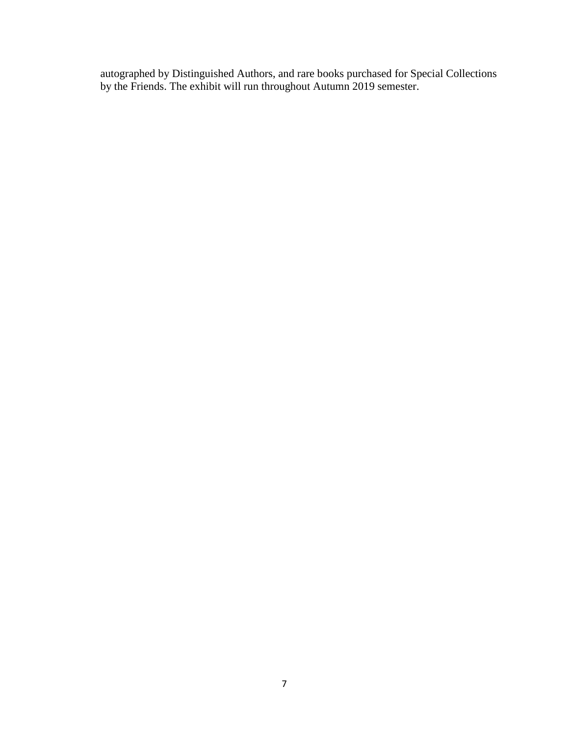autographed by Distinguished Authors, and rare books purchased for Special Collections by the Friends. The exhibit will run throughout Autumn 2019 semester.